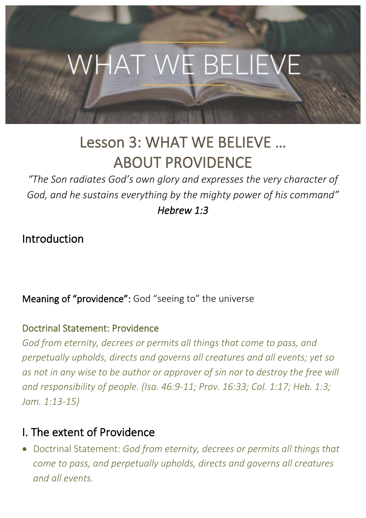

# Lesson 3: WHAT WE BELIEVE … ABOUT PROVIDENCE

*"The Son radiates God's own glory and expresses the very character of God, and he sustains everything by the mighty power of his command" Hebrew 1:3* 

Introduction

Meaning of "providence": God "seeing to" the universe

### Doctrinal Statement: Providence

*God from eternity, decrees or permits all things that come to pass, and perpetually upholds, directs and governs all creatures and all events; yet so as not in any wise to be author or approver of sin nor to destroy the free will and responsibility of people. (Isa. 46:9-11; Prov. 16:33; Col. 1:17; Heb. 1:3; Jam. 1:13-15)*

## I. The extent of Providence

• Doctrinal Statement: *God from eternity, decrees or permits all things that come to pass, and perpetually upholds, directs and governs all creatures and all events.*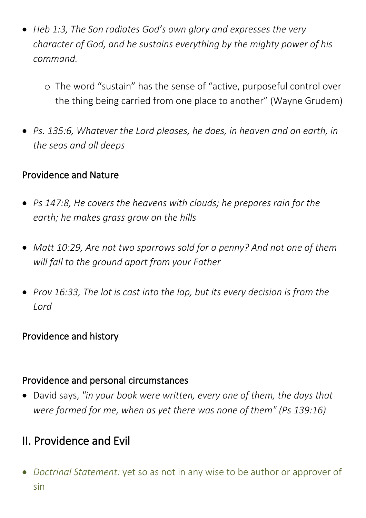- *Heb 1:3, The Son radiates God's own glory and expresses the very character of God, and he sustains everything by the mighty power of his command.*
	- o The word "sustain" has the sense of "active, purposeful control over the thing being carried from one place to another" (Wayne Grudem)
- *Ps. 135:6, Whatever the Lord pleases, he does, in heaven and on earth, in the seas and all deeps*

### Providence and Nature

- *Ps 147:8, He covers the heavens with clouds; he prepares rain for the earth; he makes grass grow on the hills*
- *Matt 10:29, Are not two sparrows sold for a penny? And not one of them will fall to the ground apart from your Father*
- *Prov 16:33, The lot is cast into the lap, but its every decision is from the Lord*

### Providence and history

#### Providence and personal circumstances

• David says, *"in your book were written, every one of them, the days that were formed for me, when as yet there was none of them" (Ps 139:16)*

# II. Providence and Evil

• *Doctrinal Statement:* yet so as not in any wise to be author or approver of sin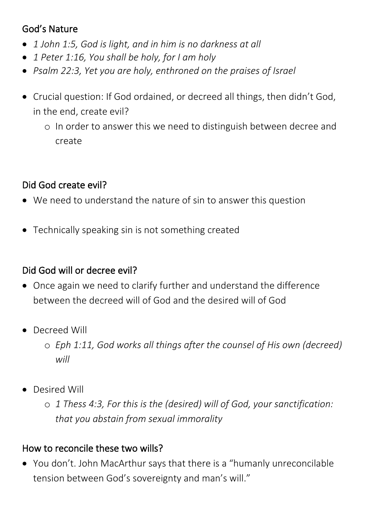### God's Nature

- *1 John 1:5, God is light, and in him is no darkness at all*
- *1 Peter 1:16, You shall be holy, for I am holy*
- *Psalm 22:3, Yet you are holy, enthroned on the praises of Israel*
- Crucial question: If God ordained, or decreed all things, then didn't God, in the end, create evil?
	- o In order to answer this we need to distinguish between decree and create

### Did God create evil?

- We need to understand the nature of sin to answer this question
- Technically speaking sin is not something created

### Did God will or decree evil?

- Once again we need to clarify further and understand the difference between the decreed will of God and the desired will of God
- Decreed Will
	- o *Eph 1:11, God works all things after the counsel of His own (decreed) will*
- Desired Will
	- o *1 Thess 4:3, For this is the (desired) will of God, your sanctification: that you abstain from sexual immorality*

### How to reconcile these two wills?

• You don't. John MacArthur says that there is a "humanly unreconcilable tension between God's sovereignty and man's will."